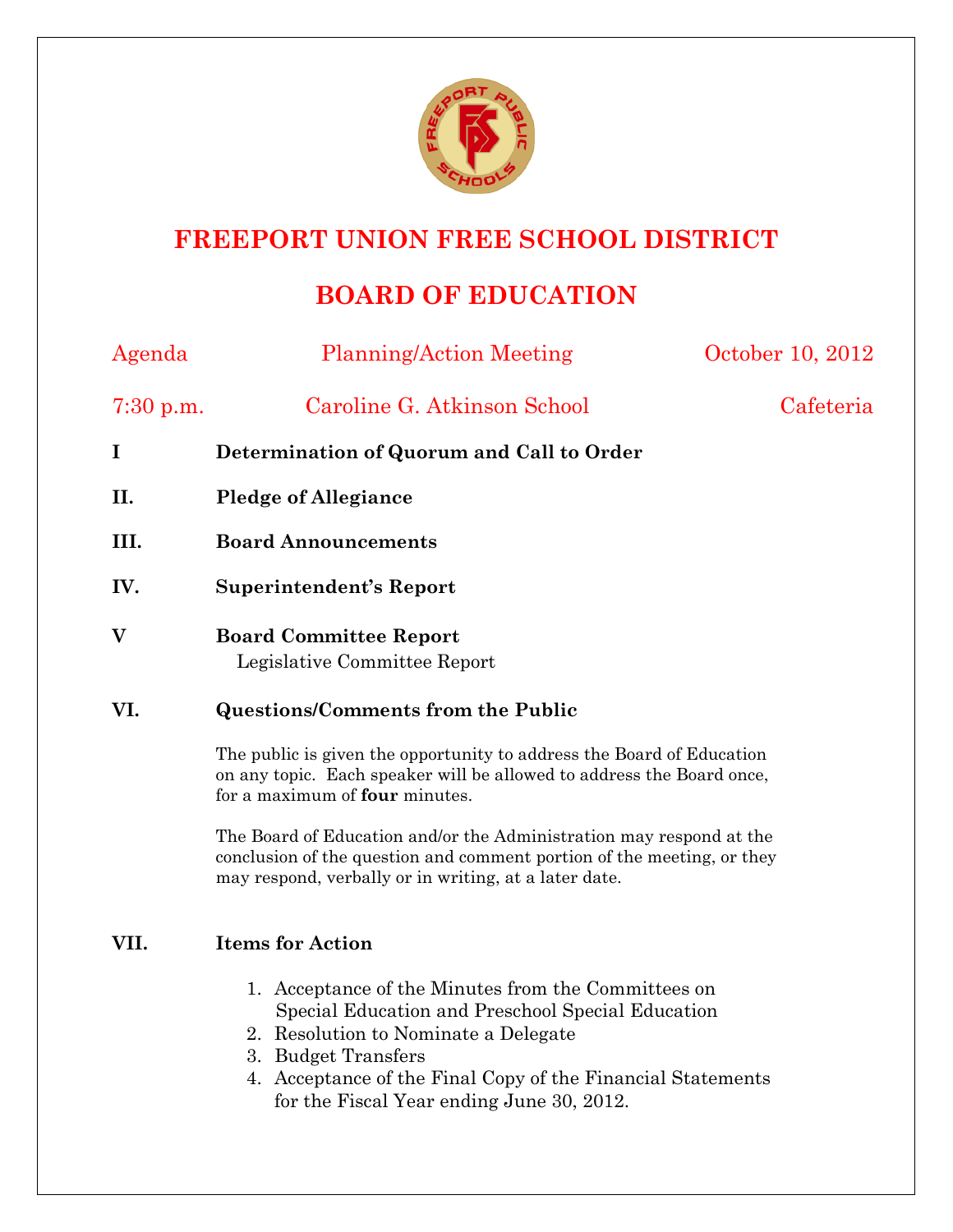

## **FREEPORT UNION FREE SCHOOL DISTRICT**

# **BOARD OF EDUCATION**

| Agenda      | <b>Planning/Action Meeting</b>                                                                                                                                                                         | October 10, 2012 |
|-------------|--------------------------------------------------------------------------------------------------------------------------------------------------------------------------------------------------------|------------------|
| $7:30$ p.m. | Caroline G. Atkinson School                                                                                                                                                                            | Cafeteria        |
| $\bf{I}$    | Determination of Quorum and Call to Order                                                                                                                                                              |                  |
| II.         | <b>Pledge of Allegiance</b>                                                                                                                                                                            |                  |
| III.        | <b>Board Announcements</b>                                                                                                                                                                             |                  |
| IV.         | <b>Superintendent's Report</b>                                                                                                                                                                         |                  |
| V           | <b>Board Committee Report</b><br>Legislative Committee Report                                                                                                                                          |                  |
| VI.         | <b>Questions/Comments from the Public</b>                                                                                                                                                              |                  |
|             | The public is given the opportunity to address the Board of Education<br>on any topic. Each speaker will be allowed to address the Board once,<br>for a maximum of <b>four</b> minutes.                |                  |
|             | The Board of Education and/or the Administration may respond at the<br>conclusion of the question and comment portion of the meeting, or they<br>may respond, verbally or in writing, at a later date. |                  |
| VII.        | <b>Items for Action</b>                                                                                                                                                                                |                  |
|             | 1. Acceptance of the Minutes from the Committees on<br>Special Education and Preschool Special Education                                                                                               |                  |

- 2. Resolution to Nominate a Delegate
- 3. Budget Transfers
- 4. Acceptance of the Final Copy of the Financial Statements for the Fiscal Year ending June 30, 2012.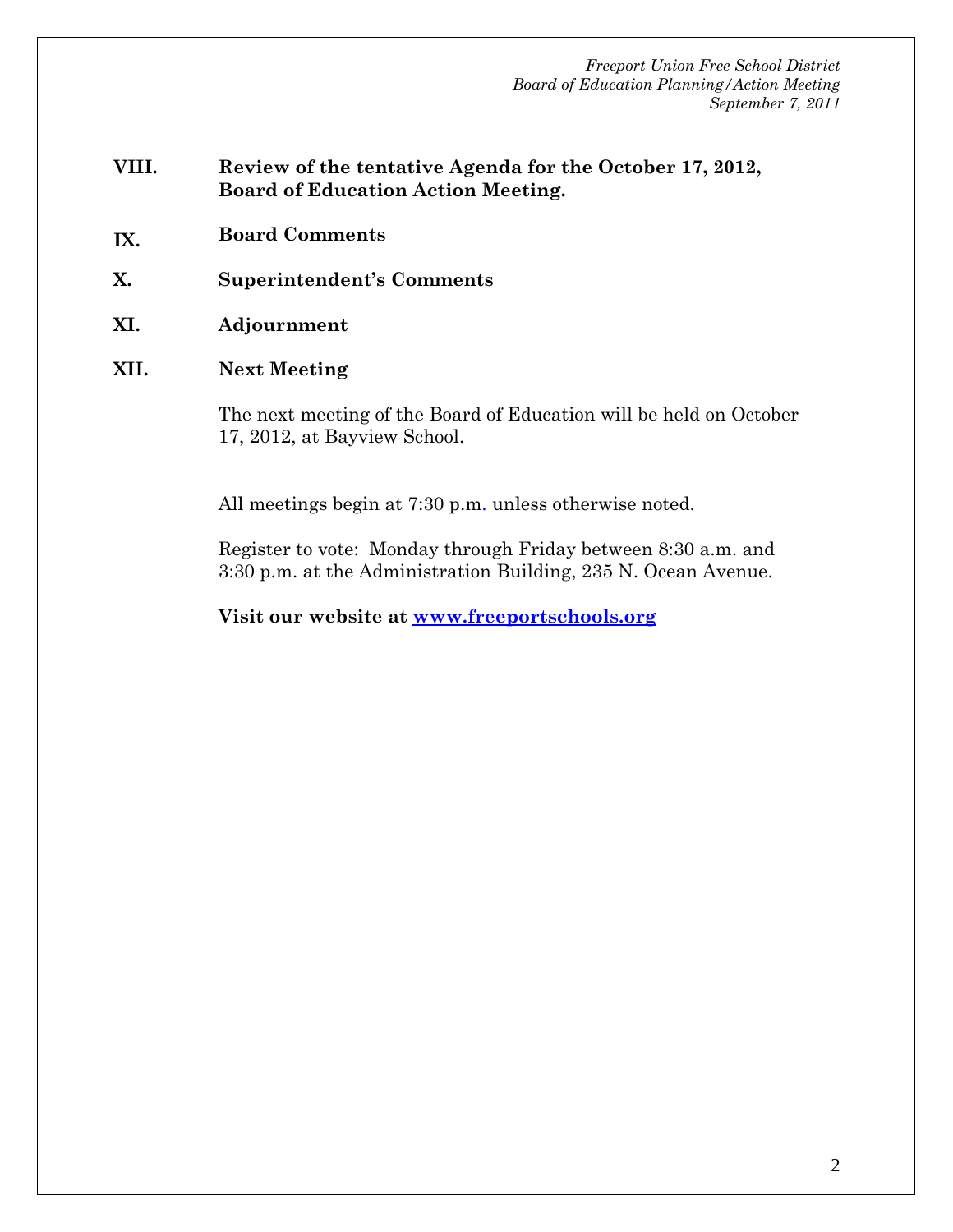*Freeport Union Free School District Board of Education Planning/Action Meeting September 7, 2011* 

- **VIII. Review of the tentative Agenda for the October 17, 2012, Board of Education Action Meeting.**
- **IX. Board Comments**
- **X. Superintendent's Comments**
- **XI. Adjournment**
- **XII. Next Meeting**

The next meeting of the Board of Education will be held on October 17, 2012, at Bayview School.

All meetings begin at 7:30 p.m. unless otherwise noted.

Register to vote: Monday through Friday between 8:30 a.m. and 3:30 p.m. at the Administration Building, 235 N. Ocean Avenue.

**Visit our website at www.freeportschools.org**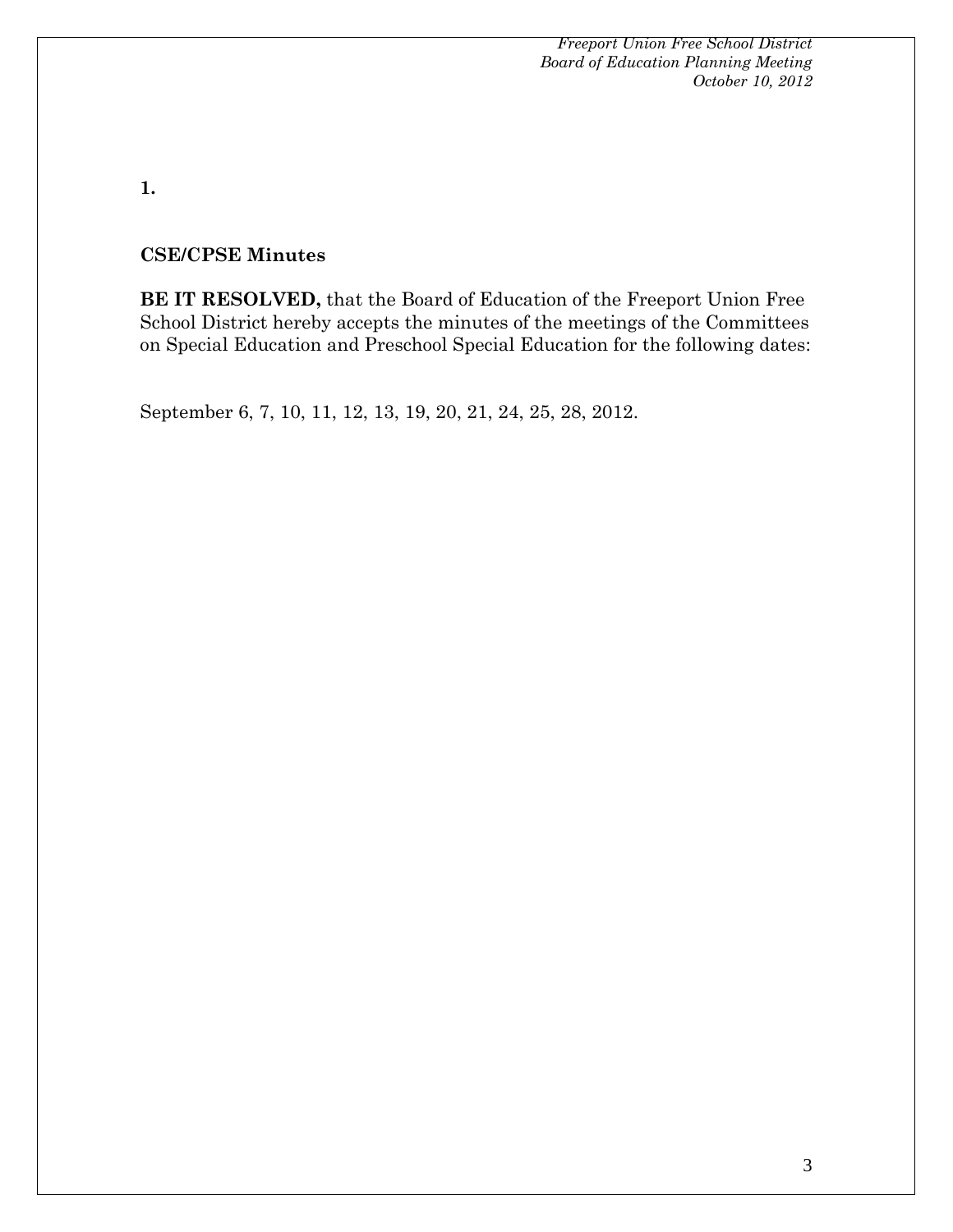**1.** 

#### **CSE/CPSE Minutes**

**BE IT RESOLVED,** that the Board of Education of the Freeport Union Free School District hereby accepts the minutes of the meetings of the Committees on Special Education and Preschool Special Education for the following dates:

September 6, 7, 10, 11, 12, 13, 19, 20, 21, 24, 25, 28, 2012.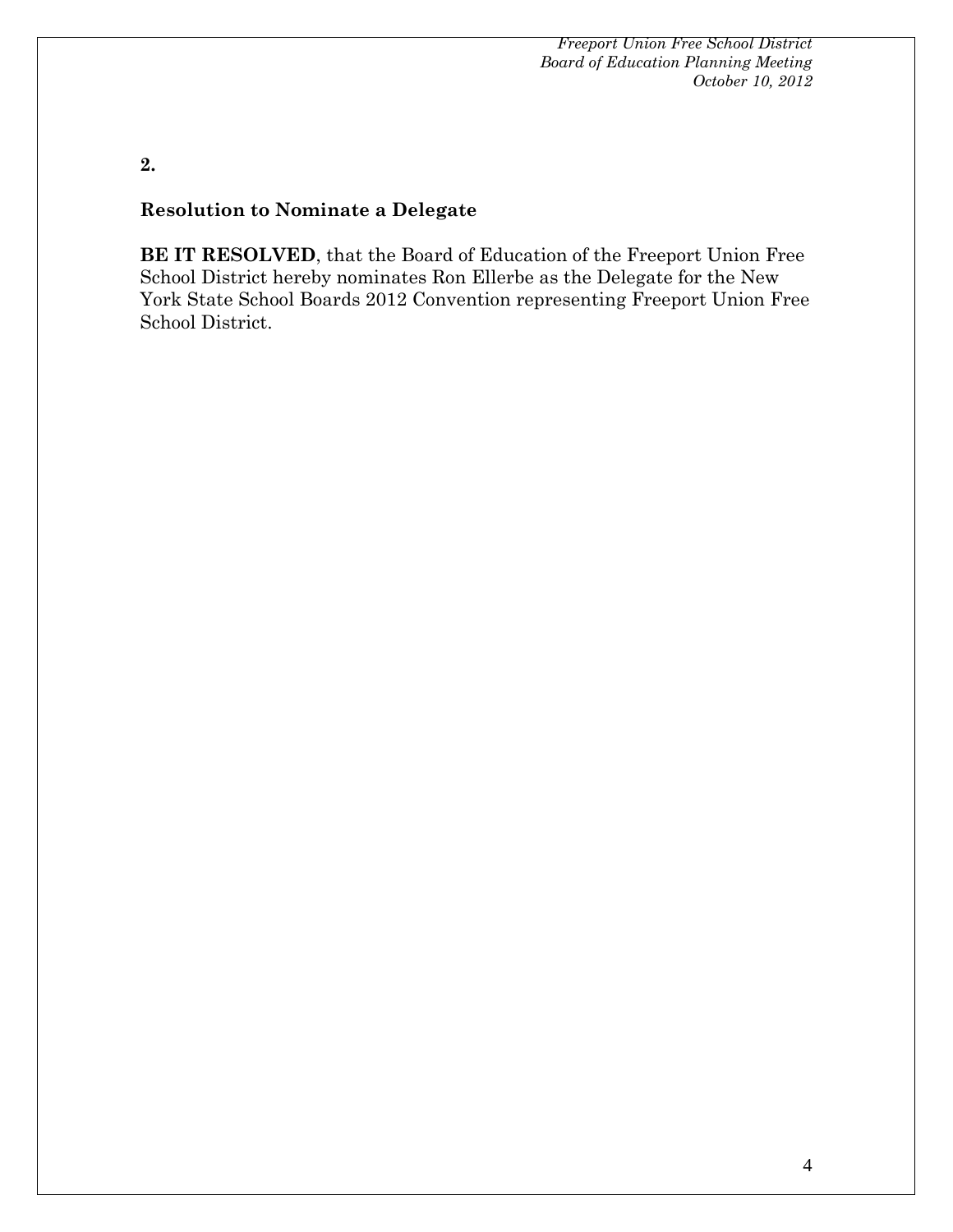**2.** 

#### **Resolution to Nominate a Delegate**

**BE IT RESOLVED**, that the Board of Education of the Freeport Union Free School District hereby nominates Ron Ellerbe as the Delegate for the New York State School Boards 2012 Convention representing Freeport Union Free School District.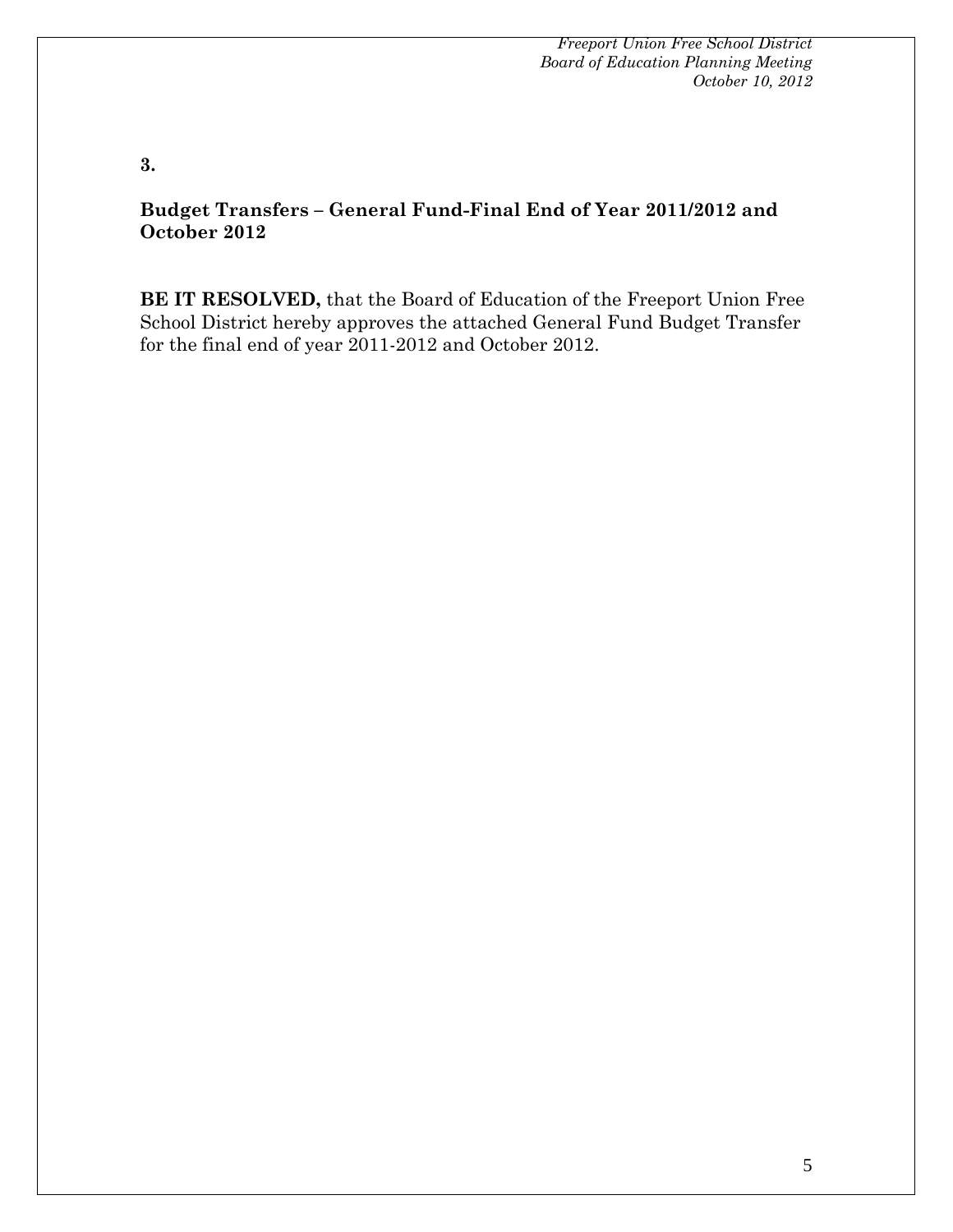**3.** 

### **Budget Transfers – General Fund-Final End of Year 2011/2012 and October 2012**

**BE IT RESOLVED,** that the Board of Education of the Freeport Union Free School District hereby approves the attached General Fund Budget Transfer for the final end of year 2011-2012 and October 2012.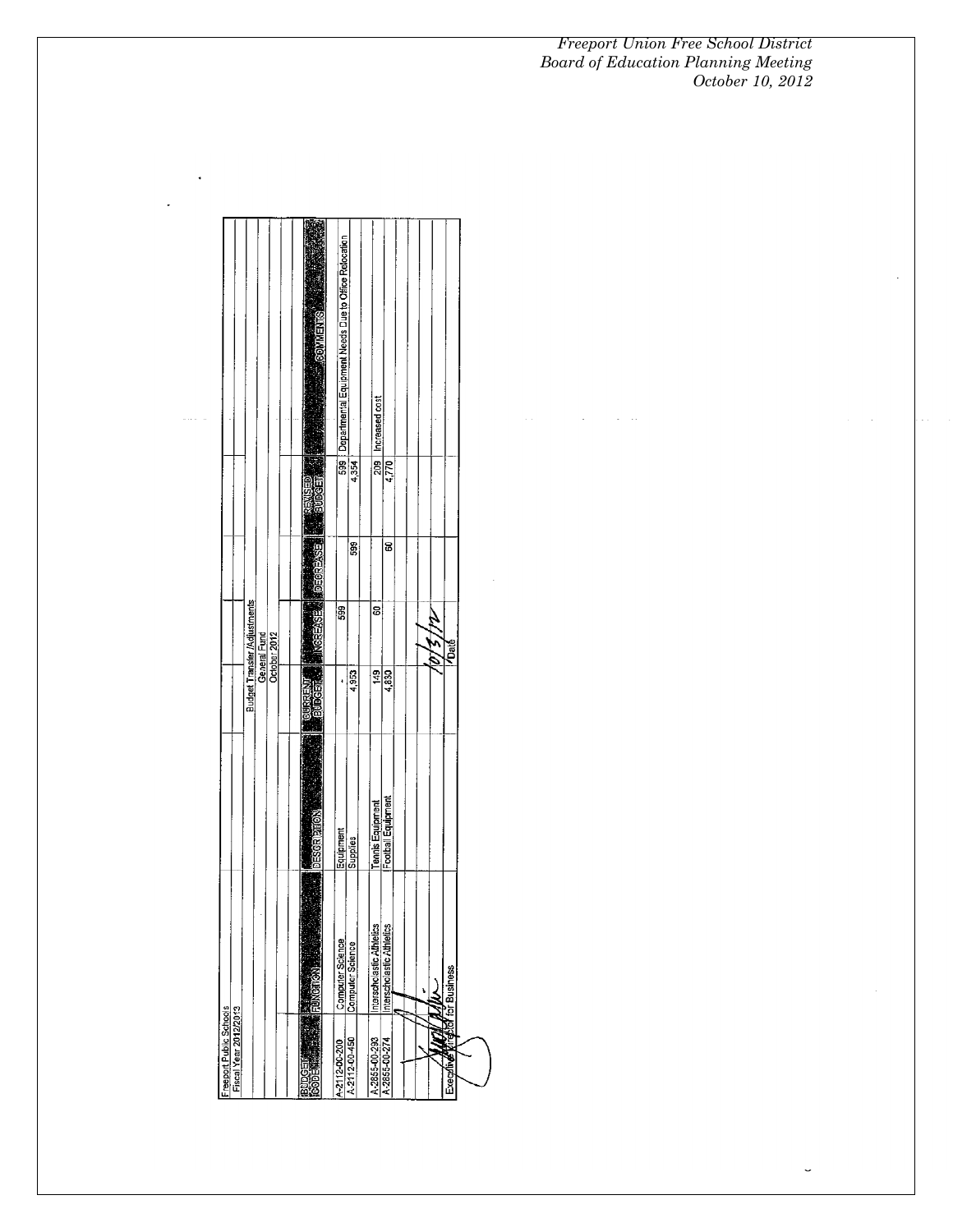$\bar{\beta}$ 

 $\hat{z} = \hat{z}$  .

 $\overline{a}$ 

|                         |                       |  |                                                              |  | <b>SINEMAGE</b>          | Departmental Equipment Needs Due to Office Relocation |                  | Increased cost            |                           |  |   |   |                                  |  |
|-------------------------|-----------------------|--|--------------------------------------------------------------|--|--------------------------|-------------------------------------------------------|------------------|---------------------------|---------------------------|--|---|---|----------------------------------|--|
|                         |                       |  |                                                              |  |                          | 599                                                   | 4.354            | 209                       | 4,770                     |  |   |   |                                  |  |
|                         |                       |  |                                                              |  | exe:<br><b>MOESS</b>     |                                                       | 599              |                           | 8                         |  |   |   |                                  |  |
|                         |                       |  | Budget Transfer /Adjustments<br>General Fund<br>October 2012 |  | ee.                      | 599                                                   |                  | ទ                         |                           |  |   |   | VDaté <sup>1</sup>               |  |
|                         |                       |  |                                                              |  | ta.                      |                                                       | 4,953            | 149                       | $\frac{688}{14.830}$      |  |   |   |                                  |  |
|                         |                       |  |                                                              |  | DESGR <sub>PTIO</sub>    | Equipment                                             | Supplies         | Tennis Equipment          | Football Equipment        |  |   |   |                                  |  |
|                         |                       |  |                                                              |  | in divis.                | <b>Computer Science</b>                               | Computer Science | Interscholastic Athletics | Interscholastic Athletics |  | L | ₹ |                                  |  |
| Freeport Public Schools | Fiscal Year 2012/2013 |  |                                                              |  | BUDGET HANDLE COLLECTION | A-2112-00-200                                         | A-2112-00-450    | A-2855-00-293             | A-2855-00-274             |  |   |   | Executive principle for Business |  |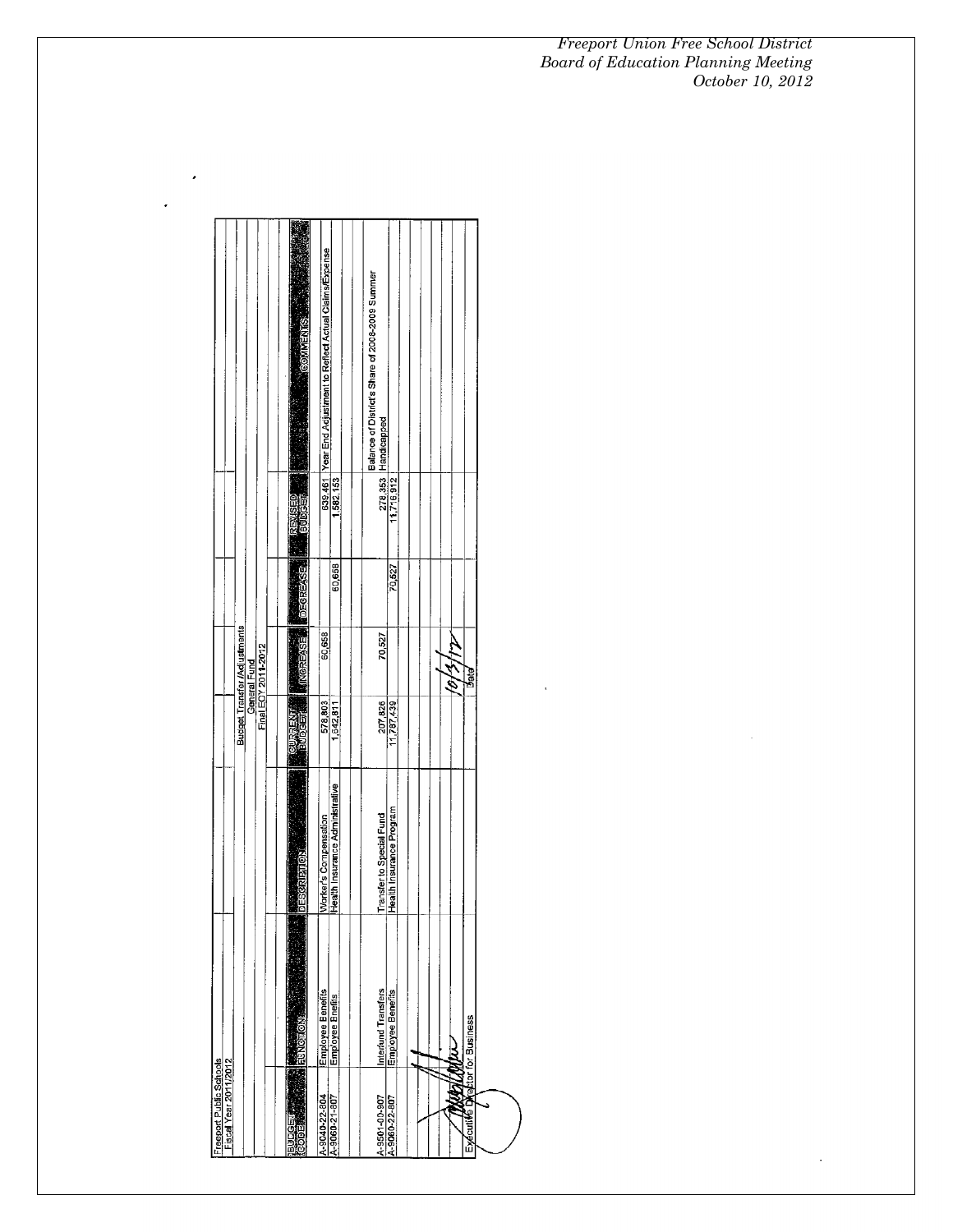| Freeport Public Schools<br>Fiscal Year 2011/2012 |                                       |                                 |                |                                     |                |           |                                                                |
|--------------------------------------------------|---------------------------------------|---------------------------------|----------------|-------------------------------------|----------------|-----------|----------------------------------------------------------------|
|                                                  |                                       |                                 |                |                                     |                |           |                                                                |
|                                                  |                                       |                                 |                | <b>Budget Transfer /Adjustments</b> |                |           |                                                                |
|                                                  |                                       |                                 |                | General Fund                        |                |           |                                                                |
|                                                  |                                       |                                 |                | Final EOY 2011-2012                 |                |           |                                                                |
|                                                  |                                       |                                 |                |                                     |                |           |                                                                |
| <b>ENGEL</b><br>DOC<br>DOC                       | <b>HUNGTON</b>                        | DESCRIPTION<br>G                | <b>LOUISER</b> | <b>ESSERIONI</b>                    | <b>BRAENSE</b> | iginia.   | <b>GOMMENTS</b>                                                |
|                                                  |                                       |                                 |                |                                     |                |           |                                                                |
| A-9040-22-804                                    | Employee Benefits<br>Employee Bnefits | Worker's Compensation           | 578,803        | 60,658                              |                | 639,461   | Year End Adjustment to Reflect Actual Claims/Expense           |
| A-9060-21-807                                    |                                       | Health Insurance Administrative | 1,642,811      |                                     | 60,658         | 582,153   |                                                                |
|                                                  |                                       |                                 |                |                                     |                |           |                                                                |
| A-9501-00-907                                    | Interfund Transfers                   | Transfer to Special Fund        | 207,826        | 70,527                              |                | 278,353   | Balance of District's Share of 2008-2009 Summer<br>Handicapped |
| A-9060-22-807                                    | Employee Benefits                     | Health Insurance Program        | 11,787,439     |                                     | 70,527         | 11716,912 |                                                                |
|                                                  |                                       |                                 |                |                                     |                |           |                                                                |
|                                                  |                                       |                                 |                |                                     |                |           |                                                                |
|                                                  |                                       |                                 |                |                                     |                |           |                                                                |
|                                                  |                                       |                                 |                |                                     |                |           |                                                                |
|                                                  |                                       |                                 |                | È                                   |                |           |                                                                |
| Exécutive Director for Business                  |                                       |                                 |                | Bate                                |                |           |                                                                |
|                                                  |                                       |                                 |                |                                     |                |           |                                                                |
|                                                  |                                       |                                 |                |                                     |                |           |                                                                |

 $\epsilon$ 

 $\hat{\boldsymbol{\cdot} }$